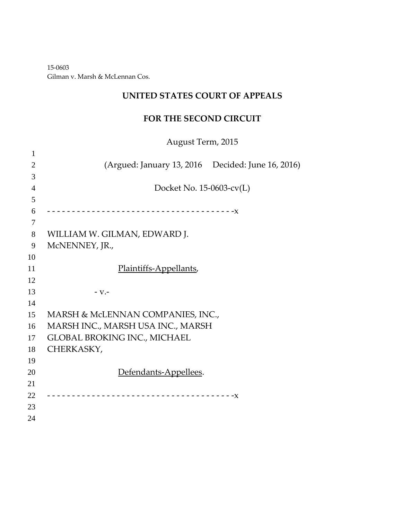‐0603 Gilman v. Marsh & McLennan Cos.

## **UNITED STATES COURT OF APPEALS**

### **FOR THE SECOND CIRCUIT**

August Term, 2015

| 1              |                                                   |
|----------------|---------------------------------------------------|
| $\overline{2}$ | (Argued: January 13, 2016 Decided: June 16, 2016) |
| 3              |                                                   |
| $\overline{4}$ | Docket No. 15-0603-cv(L)                          |
| 5              |                                                   |
| 6              |                                                   |
| 7              |                                                   |
| 8              | WILLIAM W. GILMAN, EDWARD J.                      |
| 9              | McNENNEY, JR.,                                    |
| 10             |                                                   |
| 11             | Plaintiffs-Appellants,                            |
| 12             |                                                   |
| 13             | $-V.$                                             |
| 14             |                                                   |
| 15             | MARSH & McLENNAN COMPANIES, INC.,                 |
| 16             | MARSH INC., MARSH USA INC., MARSH                 |
| 17             | <b>GLOBAL BROKING INC., MICHAEL</b>               |
| 18             | CHERKASKY,                                        |
| 19             |                                                   |
| 20             | Defendants-Appellees.                             |
| 21             |                                                   |
| 22             |                                                   |
| 23             |                                                   |
| 24             |                                                   |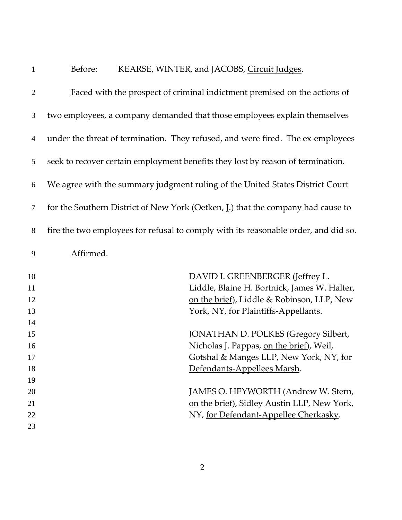| $\mathbf{1}$   | Before:<br>KEARSE, WINTER, and JACOBS, Circuit Judges.                              |
|----------------|-------------------------------------------------------------------------------------|
| $\overline{2}$ | Faced with the prospect of criminal indictment premised on the actions of           |
| 3              | two employees, a company demanded that those employees explain themselves           |
| 4              | under the threat of termination. They refused, and were fired. The ex-employees     |
| 5              | seek to recover certain employment benefits they lost by reason of termination.     |
| 6              | We agree with the summary judgment ruling of the United States District Court       |
| $\tau$         | for the Southern District of New York (Oetken, I.) that the company had cause to    |
| 8              | fire the two employees for refusal to comply with its reasonable order, and did so. |
| 9              | Affirmed.                                                                           |
| 10             | DAVID I. GREENBERGER (Jeffrey L.                                                    |
| 11             | Liddle, Blaine H. Bortnick, James W. Halter,                                        |
| 12             | on the brief), Liddle & Robinson, LLP, New                                          |
| 13             | York, NY, for Plaintiffs-Appellants.                                                |
| 14             |                                                                                     |
| 15             | <b>JONATHAN D. POLKES (Gregory Silbert,</b>                                         |
| 16             | Nicholas J. Pappas, on the brief), Weil,                                            |
| 17             | Gotshal & Manges LLP, New York, NY, for                                             |
| 18             | Defendants-Appellees Marsh.                                                         |
| 19<br>20       | JAMES O. HEYWORTH (Andrew W. Stern,                                                 |
| 21             | on the brief), Sidley Austin LLP, New York,                                         |
| 22             | NY, for Defendant-Appellee Cherkasky.                                               |
| 23             |                                                                                     |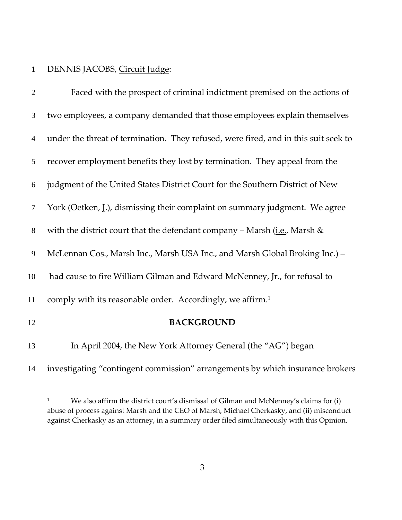### DENNIS JACOBS, Circuit Judge:

 $\overline{a}$ 

| $\overline{2}$ | Faced with the prospect of criminal indictment premised on the actions of           |
|----------------|-------------------------------------------------------------------------------------|
| 3              | two employees, a company demanded that those employees explain themselves           |
| $\overline{4}$ | under the threat of termination. They refused, were fired, and in this suit seek to |
| 5              | recover employment benefits they lost by termination. They appeal from the          |
| 6              | judgment of the United States District Court for the Southern District of New       |
| 7              | York (Oetken, I.), dismissing their complaint on summary judgment. We agree         |
| 8              | with the district court that the defendant company - Marsh $(i.e.,$ Marsh $\&$      |
| 9              | McLennan Cos., Marsh Inc., Marsh USA Inc., and Marsh Global Broking Inc.) -         |
| 10             | had cause to fire William Gilman and Edward McNenney, Jr., for refusal to           |
| 11             | comply with its reasonable order. Accordingly, we affirm. <sup>1</sup>              |
| 12             | <b>BACKGROUND</b>                                                                   |
| 13             | In April 2004, the New York Attorney General (the "AG") began                       |
| 14             | investigating "contingent commission" arrangements by which insurance brokers       |
|                |                                                                                     |

<sup>&</sup>lt;sup>1</sup> We also affirm the district court's dismissal of Gilman and McNenney's claims for (i) abuse of process against Marsh and the CEO of Marsh, Michael Cherkasky, and (ii) misconduct against Cherkasky as an attorney, in a summary order filed simultaneously with this Opinion.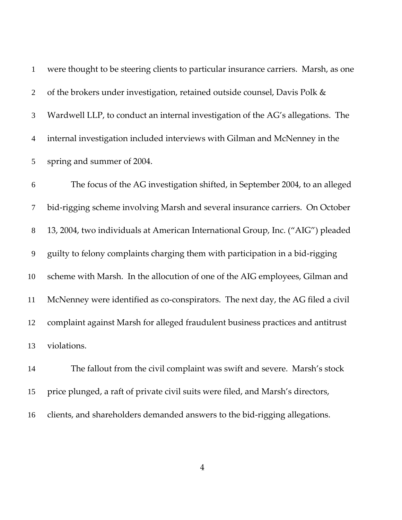were thought to be steering clients to particular insurance carriers. Marsh, as one of the brokers under investigation, retained outside counsel, Davis Polk & Wardwell LLP, to conduct an internal investigation of the AG's allegations. The internal investigation included interviews with Gilman and McNenney in the spring and summer of 2004.

The focus of the AG investigation shifted, in September 2004, to an alleged bid‐rigging scheme involving Marsh and several insurance carriers. On October 13, 2004, two individuals at American International Group, Inc. ("AIG") pleaded guilty to felony complaints charging them with participation in a bid‐rigging scheme with Marsh. In the allocution of one of the AIG employees, Gilman and 11 McNenney were identified as co-conspirators. The next day, the AG filed a civil complaint against Marsh for alleged fraudulent business practices and antitrust violations.

The fallout from the civil complaint was swift and severe. Marsh's stock price plunged, a raft of private civil suits were filed, and Marsh's directors, 16 clients, and shareholders demanded answers to the bid-rigging allegations.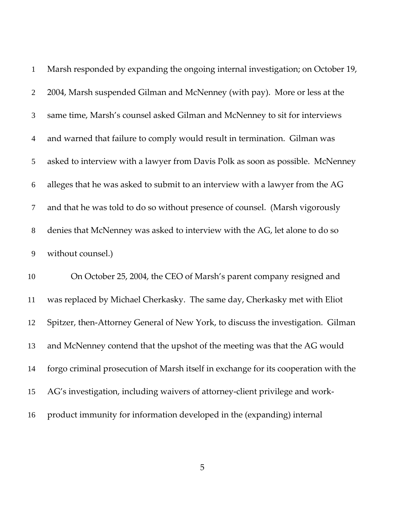| $\mathbf{1}$   | Marsh responded by expanding the ongoing internal investigation; on October 19, |
|----------------|---------------------------------------------------------------------------------|
| $\overline{2}$ | 2004, Marsh suspended Gilman and McNenney (with pay). More or less at the       |
| 3              | same time, Marsh's counsel asked Gilman and McNenney to sit for interviews      |
| $\overline{4}$ | and warned that failure to comply would result in termination. Gilman was       |
| 5 <sup>5</sup> | asked to interview with a lawyer from Davis Polk as soon as possible. McNenney  |
| 6              | alleges that he was asked to submit to an interview with a lawyer from the AG   |
| $\tau$         | and that he was told to do so without presence of counsel. (Marsh vigorously    |
| 8              | denies that McNenney was asked to interview with the AG, let alone to do so     |
| 9              | without counsel.)                                                               |

On October 25, 2004, the CEO of Marsh's parent company resigned and was replaced by Michael Cherkasky. The same day, Cherkasky met with Eliot 12 Spitzer, then-Attorney General of New York, to discuss the investigation. Gilman and McNenney contend that the upshot of the meeting was that the AG would forgo criminal prosecution of Marsh itself in exchange for its cooperation with the AG's investigation, including waivers of attorney‐client privilege and work‐ product immunity for information developed in the (expanding) internal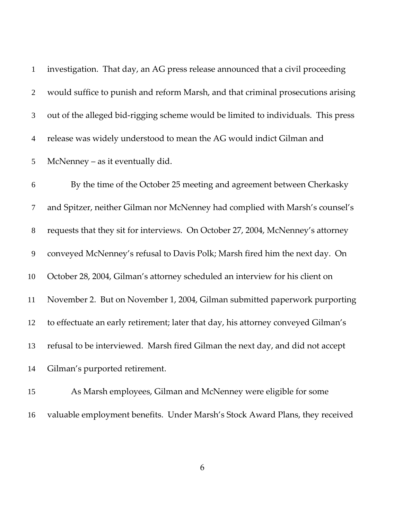| $\mathbf{1}$   | investigation. That day, an AG press release announced that a civil proceeding    |
|----------------|-----------------------------------------------------------------------------------|
| $2^{\circ}$    | would suffice to punish and reform Marsh, and that criminal prosecutions arising  |
| 3              | out of the alleged bid-rigging scheme would be limited to individuals. This press |
| $\overline{4}$ | release was widely understood to mean the AG would indict Gilman and              |
|                | 5 McNenney – as it eventually did.                                                |

By the time of the October 25 meeting and agreement between Cherkasky and Spitzer, neither Gilman nor McNenney had complied with Marsh's counsel's requests that they sit for interviews. On October 27, 2004, McNenney's attorney conveyed McNenney's refusal to Davis Polk; Marsh fired him the next day. On October 28, 2004, Gilman's attorney scheduled an interview for his client on November 2. But on November 1, 2004, Gilman submitted paperwork purporting to effectuate an early retirement; later that day, his attorney conveyed Gilman's refusal to be interviewed. Marsh fired Gilman the next day, and did not accept Gilman's purported retirement.

As Marsh employees, Gilman and McNenney were eligible for some valuable employment benefits. Under Marsh's Stock Award Plans, they received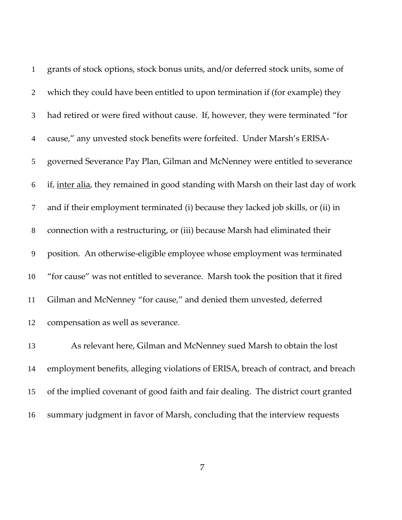| $1\,$          | grants of stock options, stock bonus units, and/or deferred stock units, some of    |
|----------------|-------------------------------------------------------------------------------------|
| $\overline{2}$ | which they could have been entitled to upon termination if (for example) they       |
| 3              | had retired or were fired without cause. If, however, they were terminated "for     |
| $\overline{4}$ | cause," any unvested stock benefits were forfeited. Under Marsh's ERISA-            |
| 5              | governed Severance Pay Plan, Gilman and McNenney were entitled to severance         |
| 6              | if, inter alia, they remained in good standing with Marsh on their last day of work |
| 7              | and if their employment terminated (i) because they lacked job skills, or (ii) in   |
| $8\,$          | connection with a restructuring, or (iii) because Marsh had eliminated their        |
| 9              | position. An otherwise-eligible employee whose employment was terminated            |
| 10             | "for cause" was not entitled to severance. Marsh took the position that it fired    |
| 11             | Gilman and McNenney "for cause," and denied them unvested, deferred                 |
| 12             | compensation as well as severance.                                                  |
| 13             | As relevant here, Gilman and McNenney sued Marsh to obtain the lost                 |
| 14             | employment benefits, alleging violations of ERISA, breach of contract, and breach   |
| 15             | of the implied covenant of good faith and fair dealing. The district court granted  |

summary judgment in favor of Marsh, concluding that the interview requests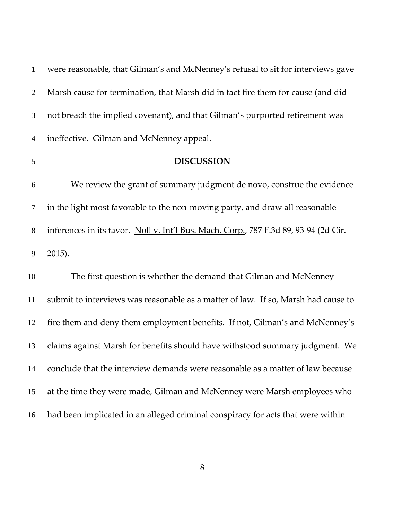| $\mathbf{1}$   | were reasonable, that Gilman's and McNenney's refusal to sit for interviews gave     |
|----------------|--------------------------------------------------------------------------------------|
| $\overline{2}$ | Marsh cause for termination, that Marsh did in fact fire them for cause (and did     |
| 3              | not breach the implied covenant), and that Gilman's purported retirement was         |
| $\overline{4}$ | ineffective. Gilman and McNenney appeal.                                             |
| 5              | <b>DISCUSSION</b>                                                                    |
| 6              | We review the grant of summary judgment de novo, construe the evidence               |
| 7              | in the light most favorable to the non-moving party, and draw all reasonable         |
| $8\,$          | inferences in its favor. Noll v. Int'l Bus. Mach. Corp., 787 F.3d 89, 93-94 (2d Cir. |
| 9              | 2015).                                                                               |
| 10             | The first question is whether the demand that Gilman and McNenney                    |
| 11             | submit to interviews was reasonable as a matter of law. If so, Marsh had cause to    |
| 12             | fire them and deny them employment benefits. If not, Gilman's and McNenney's         |
| 13             | claims against Marsh for benefits should have withstood summary judgment. We         |
| 14             | conclude that the interview demands were reasonable as a matter of law because       |
| 15             | at the time they were made, Gilman and McNenney were Marsh employees who             |
| 16             | had been implicated in an alleged criminal conspiracy for acts that were within      |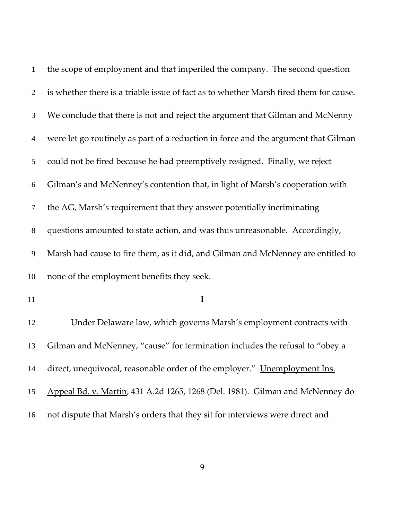| $\mathbf{1}$   | the scope of employment and that imperiled the company. The second question           |
|----------------|---------------------------------------------------------------------------------------|
| 2              | is whether there is a triable issue of fact as to whether Marsh fired them for cause. |
| 3              | We conclude that there is not and reject the argument that Gilman and McNenny         |
| $\overline{4}$ | were let go routinely as part of a reduction in force and the argument that Gilman    |
| 5              | could not be fired because he had preemptively resigned. Finally, we reject           |
| 6              | Gilman's and McNenney's contention that, in light of Marsh's cooperation with         |
| 7              | the AG, Marsh's requirement that they answer potentially incriminating                |
| $8\,$          | questions amounted to state action, and was thus unreasonable. Accordingly,           |
| 9              | Marsh had cause to fire them, as it did, and Gilman and McNenney are entitled to      |
| 10             | none of the employment benefits they seek.                                            |
| 11             | I                                                                                     |
| 12             | Under Delaware law, which governs Marsh's employment contracts with                   |
| 13             | Gilman and McNenney, "cause" for termination includes the refusal to "obey a          |
| 14             | direct, unequivocal, reasonable order of the employer." Unemployment Ins.             |
| 15             | Appeal Bd. v. Martin, 431 A.2d 1265, 1268 (Del. 1981). Gilman and McNenney do         |
| 16             | not dispute that Marsh's orders that they sit for interviews were direct and          |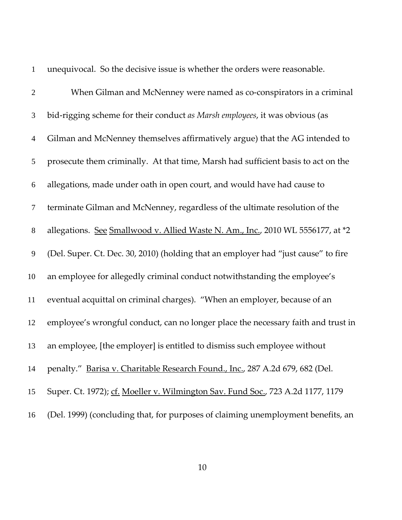|                  | unequivocal. So the decisive issue is whether the orders were reasonable.          |
|------------------|------------------------------------------------------------------------------------|
| $\mathbf{2}$     | When Gilman and McNenney were named as co-conspirators in a criminal               |
| 3                | bid-rigging scheme for their conduct as Marsh employees, it was obvious (as        |
| $\overline{4}$   | Gilman and McNenney themselves affirmatively argue) that the AG intended to        |
| 5                | prosecute them criminally. At that time, Marsh had sufficient basis to act on the  |
| 6                | allegations, made under oath in open court, and would have had cause to            |
| $\boldsymbol{7}$ | terminate Gilman and McNenney, regardless of the ultimate resolution of the        |
| $8\,$            | allegations. See Smallwood v. Allied Waste N. Am., Inc., 2010 WL 5556177, at *2    |
| 9                | (Del. Super. Ct. Dec. 30, 2010) (holding that an employer had "just cause" to fire |
| 10               | an employee for allegedly criminal conduct notwithstanding the employee's          |
| 11               | eventual acquittal on criminal charges). "When an employer, because of an          |
| 12               | employee's wrongful conduct, can no longer place the necessary faith and trust in  |
| 13               | an employee, [the employer] is entitled to dismiss such employee without           |
| 14               | penalty." Barisa v. Charitable Research Found., Inc., 287 A.2d 679, 682 (Del.      |
| 15               | Super. Ct. 1972); cf. Moeller v. Wilmington Sav. Fund Soc., 723 A.2d 1177, 1179    |
| 16               | (Del. 1999) (concluding that, for purposes of claiming unemployment benefits, an   |

unequivocal. So the decisive issue is whether the orders were reasonable.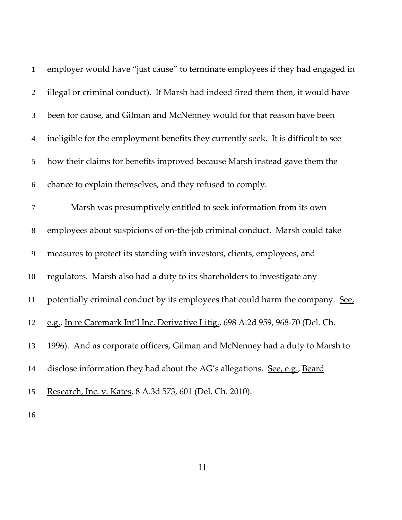| $\mathbf{1}$   | employer would have "just cause" to terminate employees if they had engaged in     |
|----------------|------------------------------------------------------------------------------------|
| 2              | illegal or criminal conduct). If Marsh had indeed fired them then, it would have   |
| 3              | been for cause, and Gilman and McNenney would for that reason have been            |
| $\overline{4}$ | ineligible for the employment benefits they currently seek. It is difficult to see |
| 5              | how their claims for benefits improved because Marsh instead gave them the         |
| 6              | chance to explain themselves, and they refused to comply.                          |
| $\tau$         | Marsh was presumptively entitled to seek information from its own                  |
| $8\,$          | employees about suspicions of on-the-job criminal conduct. Marsh could take        |
| $\overline{9}$ | measures to protect its standing with investors, clients, employees, and           |
| 10             | regulators. Marsh also had a duty to its shareholders to investigate any           |
| 11             | potentially criminal conduct by its employees that could harm the company. See,    |
| 12             | e.g., In re Caremark Int'l Inc. Derivative Litig., 698 A.2d 959, 968-70 (Del. Ch.  |
| 13             | 1996). And as corporate officers, Gilman and McNenney had a duty to Marsh to       |
| 14             | disclose information they had about the AG's allegations. See, e.g., Beard         |
| 15             | Research, Inc. v. Kates, 8 A.3d 573, 601 (Del. Ch. 2010).                          |
| 16             |                                                                                    |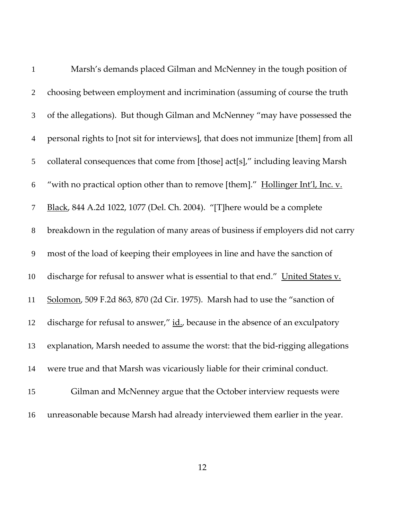| $\mathbf{1}$   | Marsh's demands placed Gilman and McNenney in the tough position of                 |
|----------------|-------------------------------------------------------------------------------------|
| $\overline{2}$ | choosing between employment and incrimination (assuming of course the truth         |
| 3              | of the allegations). But though Gilman and McNenney "may have possessed the         |
| $\overline{4}$ | personal rights to [not sit for interviews], that does not immunize [them] from all |
| 5              | collateral consequences that come from [those] act[s]," including leaving Marsh     |
| 6              | "with no practical option other than to remove [them]." Hollinger Int'l, Inc. v.    |
| 7              | Black, 844 A.2d 1022, 1077 (Del. Ch. 2004). "[T]here would be a complete            |
| $8\,$          | breakdown in the regulation of many areas of business if employers did not carry    |
| 9              | most of the load of keeping their employees in line and have the sanction of        |
| 10             | discharge for refusal to answer what is essential to that end." United States v.    |
| 11             | Solomon, 509 F.2d 863, 870 (2d Cir. 1975). Marsh had to use the "sanction of        |
| 12             | discharge for refusal to answer," id., because in the absence of an exculpatory     |
| 13             | explanation, Marsh needed to assume the worst: that the bid-rigging allegations     |
| 14             | were true and that Marsh was vicariously liable for their criminal conduct.         |
| 15             | Gilman and McNenney argue that the October interview requests were                  |
| 16             | unreasonable because Marsh had already interviewed them earlier in the year.        |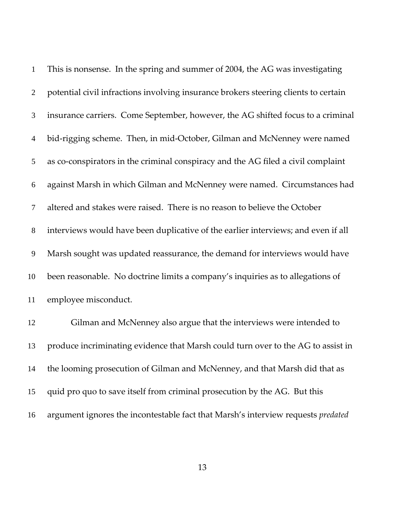| $\mathbf{1}$   | This is nonsense. In the spring and summer of 2004, the AG was investigating        |
|----------------|-------------------------------------------------------------------------------------|
| $\overline{2}$ | potential civil infractions involving insurance brokers steering clients to certain |
| 3              | insurance carriers. Come September, however, the AG shifted focus to a criminal     |
| $\overline{4}$ | bid-rigging scheme. Then, in mid-October, Gilman and McNenney were named            |
| 5              | as co-conspirators in the criminal conspiracy and the AG filed a civil complaint    |
| 6              | against Marsh in which Gilman and McNenney were named. Circumstances had            |
| 7              | altered and stakes were raised. There is no reason to believe the October           |
| $8\,$          | interviews would have been duplicative of the earlier interviews; and even if all   |
| 9              | Marsh sought was updated reassurance, the demand for interviews would have          |
| 10             | been reasonable. No doctrine limits a company's inquiries as to allegations of      |
| 11             | employee misconduct.                                                                |
| 12             | Gilman and McNenney also argue that the interviews were intended to                 |
| 13             | produce incriminating evidence that Marsh could turn over to the AG to assist in    |
| 14             | the looming prosecution of Gilman and McNenney, and that Marsh did that as          |
| 15             | quid pro quo to save itself from criminal prosecution by the AG. But this           |
| 16             | argument ignores the incontestable fact that Marsh's interview requests predated    |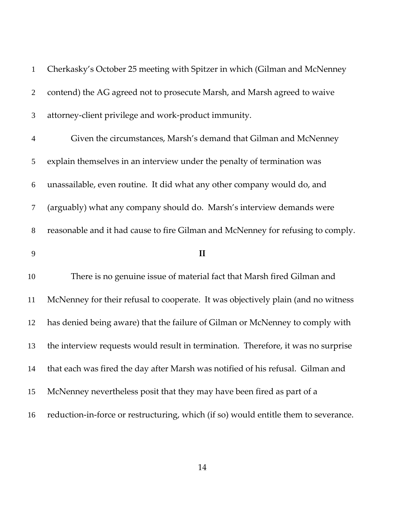| $\mathbf{1}$   | Cherkasky's October 25 meeting with Spitzer in which (Gilman and McNenney         |
|----------------|-----------------------------------------------------------------------------------|
| $\overline{2}$ | contend) the AG agreed not to prosecute Marsh, and Marsh agreed to waive          |
| 3              | attorney-client privilege and work-product immunity.                              |
| 4              | Given the circumstances, Marsh's demand that Gilman and McNenney                  |
| 5              | explain themselves in an interview under the penalty of termination was           |
| 6              | unassailable, even routine. It did what any other company would do, and           |
| 7              | (arguably) what any company should do. Marsh's interview demands were             |
| $8\,$          | reasonable and it had cause to fire Gilman and McNenney for refusing to comply.   |
|                |                                                                                   |
| 9              | $\mathbf{I}$                                                                      |
| 10             | There is no genuine issue of material fact that Marsh fired Gilman and            |
| 11             | McNenney for their refusal to cooperate. It was objectively plain (and no witness |
| 12             | has denied being aware) that the failure of Gilman or McNenney to comply with     |
| 13             | the interview requests would result in termination. Therefore, it was no surprise |
| 14             | that each was fired the day after Marsh was notified of his refusal. Gilman and   |
| 15             | McNenney nevertheless posit that they may have been fired as part of a            |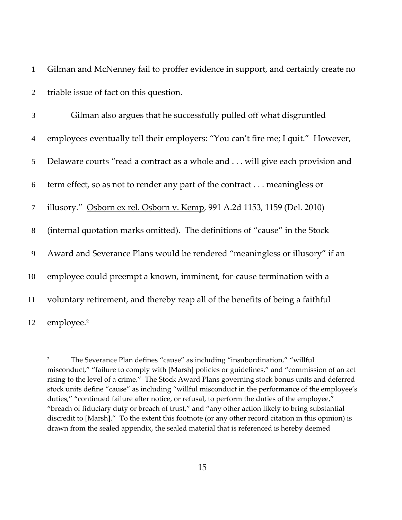1 Gilman and McNenney fail to proffer evidence in support, and certainly create no 2 triable issue of fact on this question.

Gilman also argues that he successfully pulled off what disgruntled employees eventually tell their employers: "You can't fire me; I quit." However, Delaware courts "read a contract as a whole and . . . will give each provision and term effect, so as not to render any part of the contract . . . meaningless or illusory." Osborn ex rel. Osborn v. Kemp, 991 A.2d 1153, 1159 (Del. 2010) (internal quotation marks omitted). The definitions of "cause" in the Stock Award and Severance Plans would be rendered "meaningless or illusory" if an 10 employee could preempt a known, imminent, for-cause termination with a voluntary retirement, and thereby reap all of the benefits of being a faithful 12 employee.<sup>2</sup>

 $\overline{a}$ 

<sup>&</sup>lt;sup>2</sup> The Severance Plan defines "cause" as including "insubordination," "willful misconduct," "failure to comply with [Marsh] policies or guidelines," and "commission of an act rising to the level of a crime." The Stock Award Plans governing stock bonus units and deferred stock units define "cause" as including "willful misconduct in the performance of the employee's duties," "continued failure after notice, or refusal, to perform the duties of the employee," "breach of fiduciary duty or breach of trust," and "any other action likely to bring substantial discredit to [Marsh]." To the extent this footnote (or any other record citation in this opinion) is drawn from the sealed appendix, the sealed material that is referenced is hereby deemed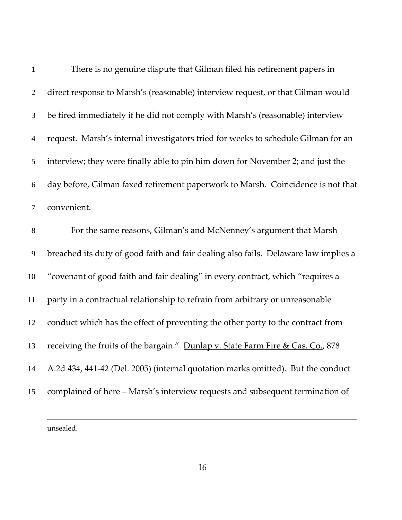| $\mathbf{1}$   | There is no genuine dispute that Gilman filed his retirement papers in              |  |
|----------------|-------------------------------------------------------------------------------------|--|
| $\overline{2}$ | direct response to Marsh's (reasonable) interview request, or that Gilman would     |  |
| 3              | be fired immediately if he did not comply with Marsh's (reasonable) interview       |  |
| $\overline{4}$ | request. Marsh's internal investigators tried for weeks to schedule Gilman for an   |  |
| 5              | interview; they were finally able to pin him down for November 2; and just the      |  |
| 6              | day before, Gilman faxed retirement paperwork to Marsh. Coincidence is not that     |  |
| $\overline{7}$ | convenient.                                                                         |  |
| 8              | For the same reasons, Gilman's and McNenney's argument that Marsh                   |  |
| 9              | breached its duty of good faith and fair dealing also fails. Delaware law implies a |  |
| 10             | "covenant of good faith and fair dealing" in every contract, which "requires a      |  |
| 11             | party in a contractual relationship to refrain from arbitrary or unreasonable       |  |
| 12             | conduct which has the effect of preventing the other party to the contract from     |  |
| 13             | receiving the fruits of the bargain." Dunlap v. State Farm Fire & Cas. Co., 878     |  |
| 14             | A.2d 434, 441-42 (Del. 2005) (internal quotation marks omitted). But the conduct    |  |
| 15             | complained of here - Marsh's interview requests and subsequent termination of       |  |
|                |                                                                                     |  |

unsealed.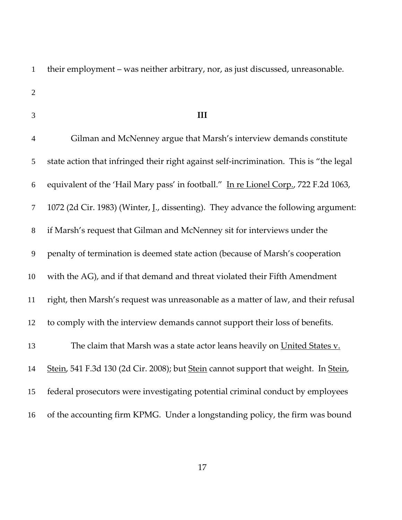their employment – was neither arbitrary, nor, as just discussed, unreasonable.

- 
- 

#### **III**

Gilman and McNenney argue that Marsh's interview demands constitute state action that infringed their right against self‐incrimination. This is "the legal equivalent of the 'Hail Mary pass' in football." In re Lionel Corp., 722 F.2d 1063, 1072 (2d Cir. 1983) (Winter, J., dissenting). They advance the following argument: if Marsh's request that Gilman and McNenney sit for interviews under the penalty of termination is deemed state action (because of Marsh's cooperation with the AG), and if that demand and threat violated their Fifth Amendment right, then Marsh's request was unreasonable as a matter of law, and their refusal to comply with the interview demands cannot support their loss of benefits. 13 The claim that Marsh was a state actor leans heavily on United States v. Stein, 541 F.3d 130 (2d Cir. 2008); but Stein cannot support that weight. In Stein, federal prosecutors were investigating potential criminal conduct by employees of the accounting firm KPMG. Under a longstanding policy, the firm was bound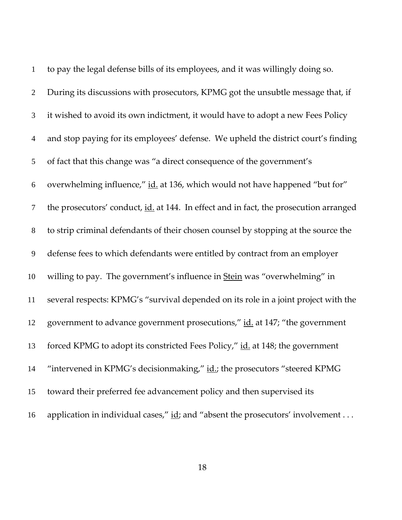| $\mathbf{1}$   | to pay the legal defense bills of its employees, and it was willingly doing so.       |
|----------------|---------------------------------------------------------------------------------------|
| $\overline{2}$ | During its discussions with prosecutors, KPMG got the unsubtle message that, if       |
| 3              | it wished to avoid its own indictment, it would have to adopt a new Fees Policy       |
| $\overline{4}$ | and stop paying for its employees' defense. We upheld the district court's finding    |
| 5              | of fact that this change was "a direct consequence of the government's                |
| 6              | overwhelming influence," id. at 136, which would not have happened "but for"          |
| 7              | the prosecutors' conduct, id. at 144. In effect and in fact, the prosecution arranged |
| 8              | to strip criminal defendants of their chosen counsel by stopping at the source the    |
| 9              | defense fees to which defendants were entitled by contract from an employer           |
| 10             | willing to pay. The government's influence in Stein was "overwhelming" in             |
| 11             | several respects: KPMG's "survival depended on its role in a joint project with the   |
| 12             | government to advance government prosecutions," id. at 147; "the government           |
| 13             | forced KPMG to adopt its constricted Fees Policy," id. at 148; the government         |
| 14             | "intervened in KPMG's decisionmaking," id.; the prosecutors "steered KPMG             |
| 15             | toward their preferred fee advancement policy and then supervised its                 |
| 16             | application in individual cases," id; and "absent the prosecutors' involvement        |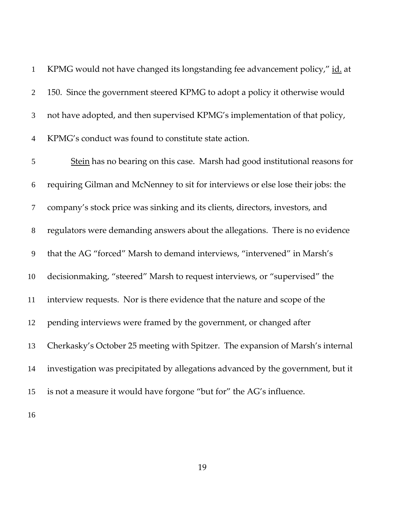KPMG would not have changed its longstanding fee advancement policy," id. at 150. Since the government steered KPMG to adopt a policy it otherwise would not have adopted, and then supervised KPMG's implementation of that policy, KPMG's conduct was found to constitute state action.

Stein has no bearing on this case. Marsh had good institutional reasons for requiring Gilman and McNenney to sit for interviews or else lose their jobs: the company's stock price was sinking and its clients, directors, investors, and regulators were demanding answers about the allegations. There is no evidence that the AG "forced" Marsh to demand interviews, "intervened" in Marsh's decisionmaking, "steered" Marsh to request interviews, or "supervised" the interview requests. Nor is there evidence that the nature and scope of the pending interviews were framed by the government, or changed after Cherkasky's October 25 meeting with Spitzer. The expansion of Marsh's internal investigation was precipitated by allegations advanced by the government, but it is not a measure it would have forgone "but for" the AG's influence.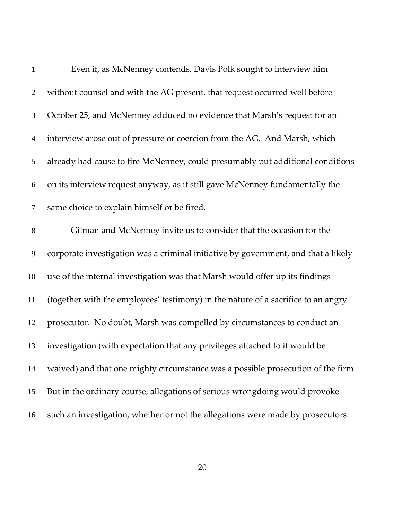| $\mathbf{1}$   | Even if, as McNenney contends, Davis Polk sought to interview him                  |
|----------------|------------------------------------------------------------------------------------|
| $\overline{2}$ | without counsel and with the AG present, that request occurred well before         |
| 3              | October 25, and McNenney adduced no evidence that Marsh's request for an           |
| $\overline{4}$ | interview arose out of pressure or coercion from the AG. And Marsh, which          |
| 5              | already had cause to fire McNenney, could presumably put additional conditions     |
| 6              | on its interview request anyway, as it still gave McNenney fundamentally the       |
| $\tau$         | same choice to explain himself or be fired.                                        |
| $8\,$          | Gilman and McNenney invite us to consider that the occasion for the                |
| $\mathbf{9}$   | corporate investigation was a criminal initiative by government, and that a likely |
| 10             | use of the internal investigation was that Marsh would offer up its findings       |
| 11             | (together with the employees' testimony) in the nature of a sacrifice to an angry  |
| 12             | prosecutor. No doubt, Marsh was compelled by circumstances to conduct an           |
| 13             | investigation (with expectation that any privileges attached to it would be        |
| 14             | waived) and that one mighty circumstance was a possible prosecution of the firm.   |
| 15             | But in the ordinary course, allegations of serious wrongdoing would provoke        |
| 16             | such an investigation, whether or not the allegations were made by prosecutors     |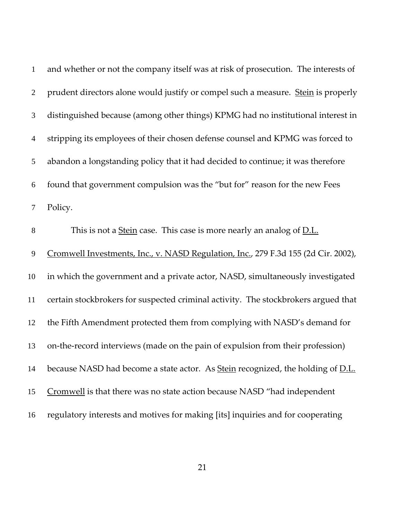| $\mathbf{1}$   | and whether or not the company itself was at risk of prosecution. The interests of     |  |
|----------------|----------------------------------------------------------------------------------------|--|
| $\overline{2}$ | prudent directors alone would justify or compel such a measure. Stein is properly      |  |
| 3              | distinguished because (among other things) KPMG had no institutional interest in       |  |
| $\overline{4}$ | stripping its employees of their chosen defense counsel and KPMG was forced to         |  |
| 5              | abandon a longstanding policy that it had decided to continue; it was therefore        |  |
| 6              | found that government compulsion was the "but for" reason for the new Fees             |  |
| 7              | Policy.                                                                                |  |
| $8\,$          | This is not a Stein case. This case is more nearly an analog of D.L.                   |  |
| 9              | Cromwell Investments, Inc., v. NASD Regulation, Inc., 279 F.3d 155 (2d Cir. 2002),     |  |
| 10             | in which the government and a private actor, NASD, simultaneously investigated         |  |
| 11             | certain stockbrokers for suspected criminal activity. The stockbrokers argued that     |  |
| 12             | the Fifth Amendment protected them from complying with NASD's demand for               |  |
| 13             | on-the-record interviews (made on the pain of expulsion from their profession)         |  |
| 14             | because NASD had become a state actor. As <b>Stein</b> recognized, the holding of D.L. |  |
| 15             | Cromwell is that there was no state action because NASD "had independent               |  |
| 16             | regulatory interests and motives for making [its] inquiries and for cooperating        |  |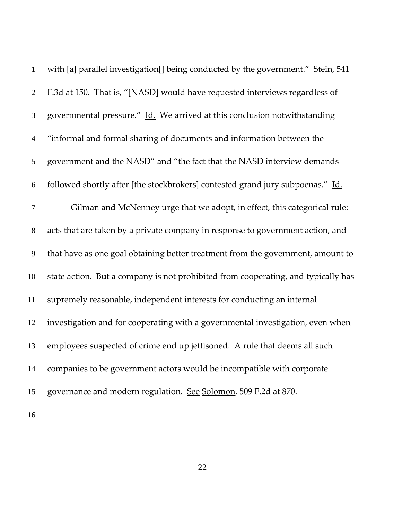| $\mathbf{1}$   | with [a] parallel investigation <sup>[]</sup> being conducted by the government." Stein, 541 |
|----------------|----------------------------------------------------------------------------------------------|
| $\overline{2}$ | F.3d at 150. That is, "[NASD] would have requested interviews regardless of                  |
| 3              | governmental pressure." Id. We arrived at this conclusion notwithstanding                    |
| $\overline{4}$ | "informal and formal sharing of documents and information between the                        |
| 5              | government and the NASD" and "the fact that the NASD interview demands                       |
| 6              | followed shortly after [the stockbrokers] contested grand jury subpoenas." Id.               |
| $\tau$         | Gilman and McNenney urge that we adopt, in effect, this categorical rule:                    |
| $8\,$          | acts that are taken by a private company in response to government action, and               |
| 9              | that have as one goal obtaining better treatment from the government, amount to              |
| 10             | state action. But a company is not prohibited from cooperating, and typically has            |
| 11             | supremely reasonable, independent interests for conducting an internal                       |
| 12             | investigation and for cooperating with a governmental investigation, even when               |
| 13             | employees suspected of crime end up jettisoned. A rule that deems all such                   |
| 14             | companies to be government actors would be incompatible with corporate                       |
| 15             | governance and modern regulation. See Solomon, 509 F.2d at 870.                              |
| 16             |                                                                                              |